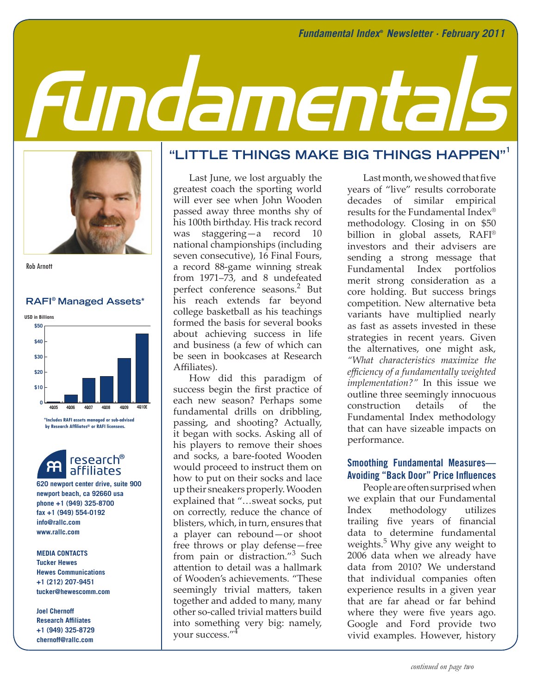# Fundamentals



Rob Arnott

### **RAFI® Managed Assets\***



**\*Includes RAFI assets managed or sub-advised by Research Affiliates® or RAFI licensees.**



**620 newport center drive, suite 900 newport beach, ca 92660 usa phone +1 (949) 325-8700 fax +1 (949) 554-0192 info@rallc.com www.rallc.com**

**MEDIA CONTACTS Tucker Hewes Hewes Communications +1 (212) 207-9451 tucker@hewescomm.com**

**Joel Chernoff Research Affiliates +1 (949) 325-8729 chernoff@rallc.com**

# **"LITTLE THINGS MAKE BIG THINGS HAPPEN"1**

Last June, we lost arguably the greatest coach the sporting world will ever see when John Wooden passed away three months shy of his 100th birthday. His track record was staggering—a record 10 national championships (including seven consecutive), 16 Final Fours, a record 88-game winning streak from 1971–73, and 8 undefeated perfect conference seasons.<sup>2</sup> But his reach extends far beyond college basketball as his teachings formed the basis for several books about achieving success in life and business (a few of which can be seen in bookcases at Research Affiliates).

**4Q05 1Q06 2Q06 3Q06 4Q06 1Q07 2Q07** seemingly trivial matters, taken How did this paradigm of success begin the first practice of each new season? Perhaps some fundamental drills on dribbling, passing, and shooting? Actually, it began with socks. Asking all of his players to remove their shoes and socks, a bare-footed Wooden would proceed to instruct them on how to put on their socks and lace up their sneakers properly. Wooden explained that "…sweat socks, put on correctly, reduce the chance of blisters, which, in turn, ensures that a player can rebound—or shoot free throws or play defense—free from pain or distraction."<sup>3</sup> Such attention to detail was a hallmark of Wooden's achievements. "These together and added to many, many other so-called trivial matters build into something very big: namely, your success."4

Last month, we showed that five years of "live" results corroborate decades of similar empirical results for the Fundamental Index® methodology. Closing in on \$50 billion in global assets, RAFI® investors and their advisers are sending a strong message that Fundamental Index portfolios merit strong consideration as a core holding. But success brings competition. New alternative beta variants have multiplied nearly as fast as assets invested in these strategies in recent years. Given the alternatives, one might ask, *"What characteristics maximize the efficiency of a fundamentally weighted implementation?"* In this issue we outline three seemingly innocuous construction details of the Fundamental Index methodology that can have sizeable impacts on performance.

# **Smoothing Fundamental Measures— Avoiding "Back Door" Price Influences**

People are often surprised when we explain that our Fundamental Index methodology utilizes trailing five years of financial data to determine fundamental weights.<sup>5</sup> Why give any weight to 2006 data when we already have data from 2010? We understand that individual companies often experience results in a given year that are far ahead or far behind where they were five years ago. Google and Ford provide two vivid examples. However, history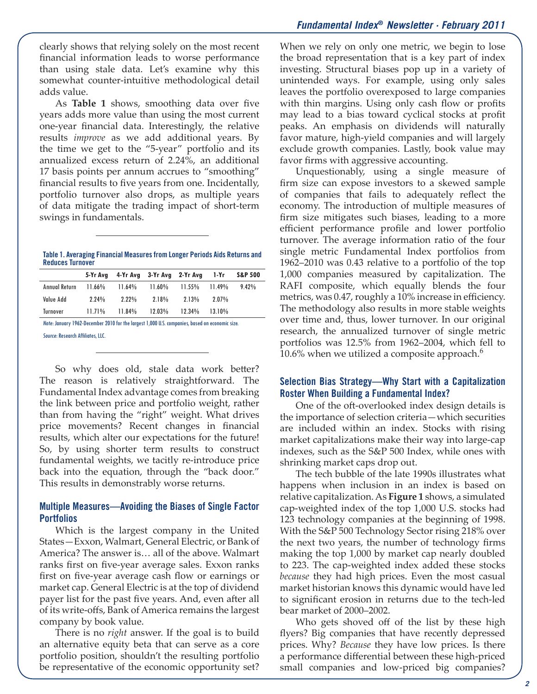clearly shows that relying solely on the most recent financial information leads to worse performance than using stale data. Let's examine why this somewhat counter-intuitive methodological detail adds value.

As **Table 1** shows, smoothing data over five years adds more value than using the most current one-year financial data. Interestingly, the relative results *improve* as we add additional years. By the time we get to the "5-year" portfolio and its annualized excess return of 2.24%, an additional 17 basis points per annum accrues to "smoothing" financial results to five years from one. Incidentally, portfolio turnover also drops, as multiple years of data mitigate the trading impact of short-term swings in fundamentals.

**Table 1. Averaging Financial Measures from Longer Periods Aids Returns and Reduces Turnover** 

|               |           | 5-Yr Avg 4-Yr Avg 3-Yr Avg 2-Yr Avg 1-Yr |           |           |           | <b>S&amp;P 500</b> |
|---------------|-----------|------------------------------------------|-----------|-----------|-----------|--------------------|
| Annual Return | $11.66\%$ | 11.64%                                   | $11.60\%$ | $11.55\%$ | 11.49%    | 9.42%              |
| Value Add     | $2.24\%$  | $2.22\%$                                 | 2.18%     | $2.13\%$  | $2.07\%$  |                    |
| Turnover      | 11.71%    | 11.84%                                   | $12.03\%$ | $12.34\%$ | $13.10\%$ |                    |

Note: January 1962-December 2010 for the largest 1,000 U.S. companies, based on economic size. Source: Research Affiliates, LLC.

So why does old, stale data work better? The reason is relatively straightforward. The Fundamental Index advantage comes from breaking the link between price and portfolio weight, rather than from having the "right" weight. What drives price movements? Recent changes in financial results, which alter our expectations for the future! So, by using shorter term results to construct fundamental weights, we tacitly re-introduce price back into the equation, through the "back door." This results in demonstrably worse returns.

# **Multiple Measures—Avoiding the Biases of Single Factor Portfolios**

Which is the largest company in the United States—Exxon, Walmart, General Electric, or Bank of America? The answer is… all of the above. Walmart ranks first on five-year average sales. Exxon ranks first on five-year average cash flow or earnings or market cap. General Electric is at the top of dividend payer list for the past five years. And, even after all of its write-offs, Bank of America remains the largest company by book value.

There is no *right* answer. If the goal is to build an alternative equity beta that can serve as a core portfolio position, shouldn't the resulting portfolio be representative of the economic opportunity set?

When we rely on only one metric, we begin to lose the broad representation that is a key part of index investing. Structural biases pop up in a variety of unintended ways. For example, using only sales leaves the portfolio overexposed to large companies with thin margins. Using only cash flow or profits may lead to a bias toward cyclical stocks at profit peaks. An emphasis on dividends will naturally favor mature, high-yield companies and will largely exclude growth companies. Lastly, book value may favor firms with aggressive accounting.

Unquestionably, using a single measure of firm size can expose investors to a skewed sample of companies that fails to adequately reflect the economy. The introduction of multiple measures of firm size mitigates such biases, leading to a more efficient performance profile and lower portfolio turnover. The average information ratio of the four single metric Fundamental Index portfolios from 1962–2010 was 0.43 relative to a portfolio of the top 1,000 companies measured by capitalization. The RAFI composite, which equally blends the four metrics, was 0.47, roughly a 10% increase in efficiency. The methodology also results in more stable weights over time and, thus, lower turnover. In our original research, the annualized turnover of single metric portfolios was 12.5% from 1962–2004, which fell to 10.6% when we utilized a composite approach. $6^{\circ}$ 

# **Selection Bias Strategy—Why Start with a Capitalization Roster When Building a Fundamental Index?**

One of the oft-overlooked index design details is the importance of selection criteria—which securities are included within an index. Stocks with rising market capitalizations make their way into large-cap indexes, such as the S&P 500 Index, while ones with shrinking market caps drop out.

The tech bubble of the late 1990s illustrates what happens when inclusion in an index is based on relative capitalization. As **Figure 1** shows, a simulated cap-weighted index of the top 1,000 U.S. stocks had 123 technology companies at the beginning of 1998. With the S&P 500 Technology Sector rising 218% over the next two years, the number of technology firms making the top 1,000 by market cap nearly doubled to 223. The cap-weighted index added these stocks *because* they had high prices. Even the most casual market historian knows this dynamic would have led to significant erosion in returns due to the tech-led bear market of 2000–2002.

Who gets shoved off of the list by these high flyers? Big companies that have recently depressed prices. Why? *Because* they have low prices. Is there a performance differential between these high-priced small companies and low-priced big companies?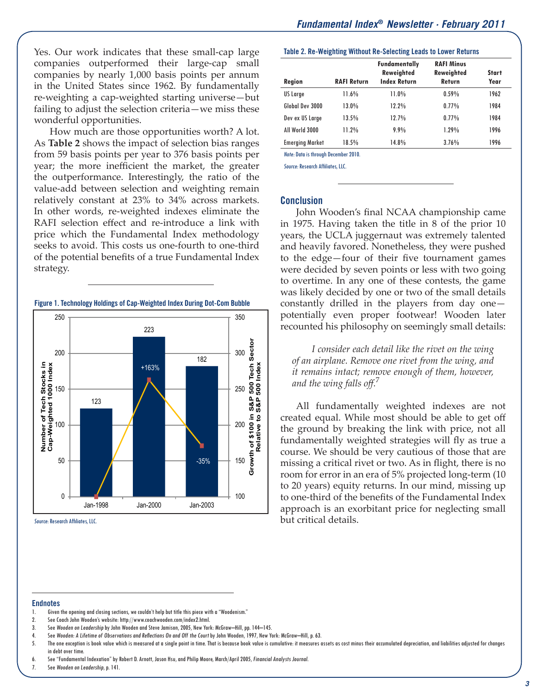Yes. Our work indicates that these small-cap large companies outperformed their large-cap small companies by nearly 1,000 basis points per annum in the United States since 1962. By fundamentally re-weighting a cap-weighted starting universe—but failing to adjust the selection criteria—we miss these wonderful opportunities.

How much are those opportunities worth? A lot. As **Table 2** shows the impact of selection bias ranges from 59 basis points per year to 376 basis points per year; the more inefficient the market, the greater the outperformance. Interestingly, the ratio of the value-add between selection and weighting remain relatively constant at 23% to 34% across markets. In other words, re-weighted indexes eliminate the RAFI selection effect and re-introduce a link with price which the Fundamental Index methodology seeks to avoid. This costs us one-fourth to one-third of the potential benefits of a true Fundamental Index strategy.



Source: Research Affiliates, LLC.

### **Table 2. Re-Weighting Without Re-Selecting Leads to Lower Returns**

| Region                 | <b>RAFI Return</b> | <b>Fundamentally</b><br><b>Reweighted</b><br><b>Index Return</b> | <b>RAFI Minus</b><br><b>Reweighted</b><br>Return | <b>Start</b><br>Year |
|------------------------|--------------------|------------------------------------------------------------------|--------------------------------------------------|----------------------|
| US Large               | 11.6%              | 11.0%                                                            | 0.59%                                            | 1962                 |
| Global Dev 3000        | 13.0%              | 12.2%                                                            | 0.77%                                            | 1984                 |
| Dev ex US Large        | 13.5%              | 12.7%                                                            | 0.77%                                            | 1984                 |
| All World 3000         | 11.2%              | 9.9%                                                             | 1.29%                                            | 1996                 |
| <b>Emerging Market</b> | 18.5%              | 14.8%                                                            | 3.76%                                            | 1996                 |

Note: Data is through December 2010.

Source: Research Affiliates, LLC.

### **Conclusion**

John Wooden's final NCAA championship came in 1975. Having taken the title in 8 of the prior 10 years, the UCLA juggernaut was extremely talented and heavily favored. Nonetheless, they were pushed to the edge—four of their five tournament games were decided by seven points or less with two going to overtime. In any one of these contests, the game was likely decided by one or two of the small details constantly drilled in the players from day one potentially even proper footwear! Wooden later recounted his philosophy on seemingly small details:

*I consider each detail like the rivet on the wing of an airplane. Remove one rivet from the wing, and it remains intact; remove enough of them, however, and the wing falls off.*<sup>7</sup>

All fundamentally weighted indexes are not created equal. While most should be able to get off the ground by breaking the link with price, not all fundamentally weighted strategies will fly as true a course. We should be very cautious of those that are missing a critical rivet or two. As in flight, there is no room for error in an era of 5% projected long-term (10 to 20 years) equity returns. In our mind, missing up to one-third of the benefits of the Fundamental Index approach is an exorbitant price for neglecting small but critical details.

### **Endnotes**

- 1. Given the opening and closing sections, we couldn't help but title this piece with a "Woodenism."
- 2. See Coach John Wooden's website: http://www.coachwooden.com/index2.html.
- 3. See Wooden on Leadership by John Wooden and Steve Jamison, 2005, New York: McGraw–Hill, pp. 144–145.
- 4. See Wooden: A Lifetime of Observations and Reflections On and Off the Court by John Wooden, 1997, New York: McGraw–Hill, p. 63.
- 5. The one exception is book value which is measured at a single point in time. That is because book value is cumulative: it measures assets as cost minus their accumulated depreciation, and liabilities adjusted for changes in debt over time.
- 6. See "Fundamental Indexation" by Robert D. Arnott, Jason Hsu, and Philip Moore, March/April 2005, Financial Analysts Journal.
- 7. See Wooden on Leadership, p. 141.